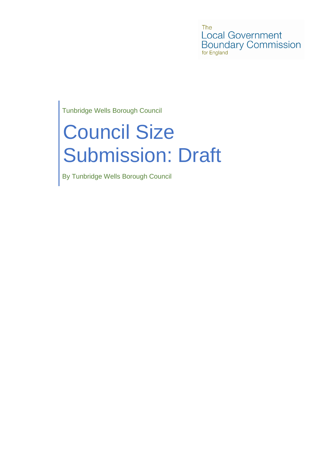The **Local Government Boundary Commission** for England

Tunbridge Wells Borough Council

# Council Size Submission: Draft

By Tunbridge Wells Borough Council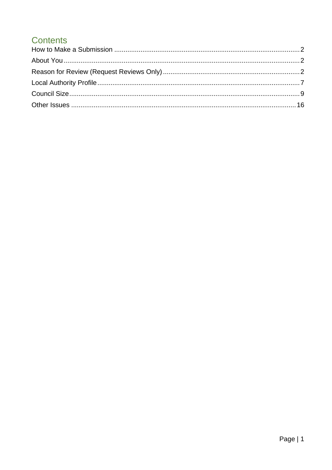# **Contents**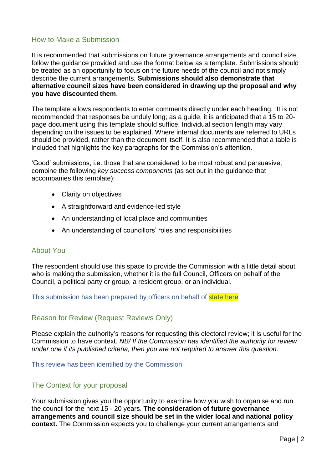# <span id="page-2-0"></span>How to Make a Submission

It is recommended that submissions on future governance arrangements and council size follow the guidance provided and use the format below as a template. Submissions should be treated as an opportunity to focus on the future needs of the council and not simply describe the current arrangements. **Submissions should also demonstrate that alternative council sizes have been considered in drawing up the proposal and why you have discounted them**.

The template allows respondents to enter comments directly under each heading. It is not recommended that responses be unduly long; as a guide, it is anticipated that a 15 to 20 page document using this template should suffice. Individual section length may vary depending on the issues to be explained. Where internal documents are referred to URLs should be provided, rather than the document itself. It is also recommended that a table is included that highlights the key paragraphs for the Commission's attention.

'Good' submissions, i.e. those that are considered to be most robust and persuasive, combine the following *key success components* (as set out in the guidance that accompanies this template):

- Clarity on objectives
- A straightforward and evidence-led style
- An understanding of local place and communities
- An understanding of councillors' roles and responsibilities

#### <span id="page-2-1"></span>About You

The respondent should use this space to provide the Commission with a little detail about who is making the submission, whether it is the full Council, Officers on behalf of the Council, a political party or group, a resident group, or an individual.

This submission has been prepared by officers on behalf of state here

#### <span id="page-2-2"></span>Reason for Review (Request Reviews Only)

Please explain the authority's reasons for requesting this electoral review; it is useful for the Commission to have context. *NB/ If the Commission has identified the authority for review under one if its published criteria, then you are not required to answer this question.*

This review has been identified by the Commission.

#### The Context for your proposal

Your submission gives you the opportunity to examine how you wish to organise and run the council for the next 15 - 20 years. **The consideration of future governance arrangements and council size should be set in the wider local and national policy context.** The Commission expects you to challenge your current arrangements and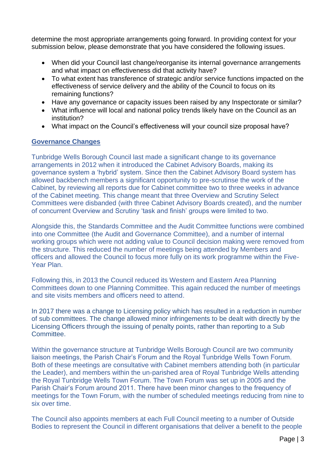determine the most appropriate arrangements going forward. In providing context for your submission below, please demonstrate that you have considered the following issues.

- When did your Council last change/reorganise its internal governance arrangements and what impact on effectiveness did that activity have?
- To what extent has transference of strategic and/or service functions impacted on the effectiveness of service delivery and the ability of the Council to focus on its remaining functions?
- Have any governance or capacity issues been raised by any Inspectorate or similar?
- What influence will local and national policy trends likely have on the Council as an institution?
- What impact on the Council's effectiveness will your council size proposal have?

#### **Governance Changes**

Tunbridge Wells Borough Council last made a significant change to its governance arrangements in 2012 when it introduced the Cabinet Advisory Boards, making its governance system a 'hybrid' system. Since then the Cabinet Advisory Board system has allowed backbench members a significant opportunity to pre-scrutinse the work of the Cabinet, by reviewing all reports due for Cabinet committee two to three weeks in advance of the Cabinet meeting. This change meant that three Overview and Scrutiny Select Committees were disbanded (with three Cabinet Advisory Boards created), and the number of concurrent Overview and Scrutiny 'task and finish' groups were limited to two.

Alongside this, the Standards Committee and the Audit Committee functions were combined into one Committee (the Audit and Governance Committee), and a number of internal working groups which were not adding value to Council decision making were removed from the structure. This reduced the number of meetings being attended by Members and officers and allowed the Council to focus more fully on its work programme within the Five-Year Plan.

Following this, in 2013 the Council reduced its Western and Eastern Area Planning Committees down to one Planning Committee. This again reduced the number of meetings and site visits members and officers need to attend.

In 2017 there was a change to Licensing policy which has resulted in a reduction in number of sub committees. The change allowed minor infringements to be dealt with directly by the Licensing Officers through the issuing of penalty points, rather than reporting to a Sub Committee.

Within the governance structure at Tunbridge Wells Borough Council are two community liaison meetings, the Parish Chair's Forum and the Royal Tunbridge Wells Town Forum. Both of these meetings are consultative with Cabinet members attending both (in particular the Leader), and members within the un-parished area of Royal Tunbridge Wells attending the Royal Tunbridge Wells Town Forum. The Town Forum was set up in 2005 and the Parish Chair's Forum around 2011. There have been minor changes to the frequency of meetings for the Town Forum, with the number of scheduled meetings reducing from nine to six over time.

The Council also appoints members at each Full Council meeting to a number of Outside Bodies to represent the Council in different organisations that deliver a benefit to the people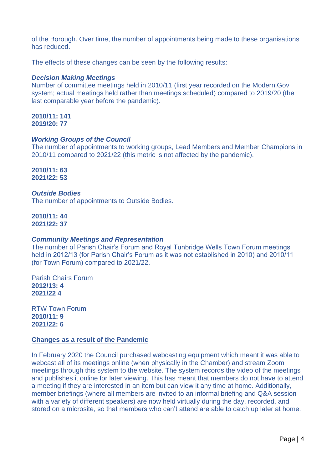of the Borough. Over time, the number of appointments being made to these organisations has reduced.

The effects of these changes can be seen by the following results:

#### *Decision Making Meetings*

Number of committee meetings held in 2010/11 (first year recorded on the Modern.Gov system; actual meetings held rather than meetings scheduled) compared to 2019/20 (the last comparable year before the pandemic).

#### **2010/11: 141 2019/20: 77**

#### *Working Groups of the Council*

The number of appointments to working groups, Lead Members and Member Champions in 2010/11 compared to 2021/22 (this metric is not affected by the pandemic).

**2010/11: 63 2021/22: 53**

#### *Outside Bodies*

The number of appointments to Outside Bodies.

**2010/11: 44 2021/22: 37**

#### *Community Meetings and Representation*

The number of Parish Chair's Forum and Royal Tunbridge Wells Town Forum meetings held in 2012/13 (for Parish Chair's Forum as it was not established in 2010) and 2010/11 (for Town Forum) compared to 2021/22.

Parish Chairs Forum **2012/13: 4 2021/22 4**

RTW Town Forum **2010/11: 9 2021/22: 6**

#### **Changes as a result of the Pandemic**

In February 2020 the Council purchased webcasting equipment which meant it was able to webcast all of its meetings online (when physically in the Chamber) and stream Zoom meetings through this system to the website. The system records the video of the meetings and publishes it online for later viewing. This has meant that members do not have to attend a meeting if they are interested in an item but can view it any time at home. Additionally, member briefings (where all members are invited to an informal briefing and Q&A session with a variety of different speakers) are now held virtually during the day, recorded, and stored on a microsite, so that members who can't attend are able to catch up later at home.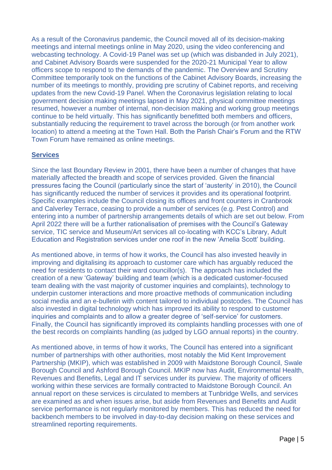As a result of the Coronavirus pandemic, the Council moved all of its decision-making meetings and internal meetings online in May 2020, using the video conferencing and webcasting technology. A Covid-19 Panel was set up (which was disbanded in July 2021), and Cabinet Advisory Boards were suspended for the 2020-21 Municipal Year to allow officers scope to respond to the demands of the pandemic. The Overview and Scrutiny Committee temporarily took on the functions of the Cabinet Advisory Boards, increasing the number of its meetings to monthly, providing pre scrutiny of Cabinet reports, and receiving updates from the new Covid-19 Panel. When the Coronavirus legislation relating to local government decision making meetings lapsed in May 2021, physical committee meetings resumed, however a number of internal, non-decision making and working group meetings continue to be held virtually. This has significantly benefitted both members and officers, substantially reducing the requirement to travel across the borough (or from another work location) to attend a meeting at the Town Hall. Both the Parish Chair's Forum and the RTW Town Forum have remained as online meetings.

# **Services**

Since the last Boundary Review in 2001, there have been a number of changes that have materially affected the breadth and scope of services provided. Given the financial pressures facing the Council (particularly since the start of 'austerity' in 2010), the Council has significantly reduced the number of services it provides and its operational footprint. Specific examples include the Council closing its offices and front counters in Cranbrook and Calverley Terrace, ceasing to provide a number of services (e.g. Pest Control) and entering into a number of partnership arrangements details of which are set out below. From April 2022 there will be a further rationalisation of premises with the Council's Gateway service, TIC service and Museum/Art services all co-locating with KCC's Library, Adult Education and Registration services under one roof in the new 'Amelia Scott' building.

As mentioned above, in terms of how it works, the Council has also invested heavily in improving and digitalising its approach to customer care which has arguably reduced the need for residents to contact their ward councillor(s). The approach has included the creation of a new 'Gateway' building and team (which is a dedicated customer-focused team dealing with the vast majority of customer inquiries and complaints), technology to underpin customer interactions and more proactive methods of communication including social media and an e-bulletin with content tailored to individual postcodes. The Council has also invested in digital technology which has improved its ability to respond to customer inquiries and complaints and to allow a greater degree of 'self-service' for customers. Finally, the Council has significantly improved its complaints handling processes with one of the best records on complaints handling (as judged by LGO annual reports) in the country.

As mentioned above, in terms of how it works, The Council has entered into a significant number of partnerships with other authorities, most notably the Mid Kent Improvement Partnership (MKIP), which was established in 2009 with Maidstone Borough Council, Swale Borough Council and Ashford Borough Council. MKIP now has Audit, Environmental Health, Revenues and Benefits, Legal and IT services under its purview. The majority of officers working within these services are formally contracted to Maidstone Borough Council. An annual report on these services is circulated to members at Tunbridge Wells, and services are examined as and when issues arise, but aside from Revenues and Benefits and Audit service performance is not regularly monitored by members. This has reduced the need for backbench members to be involved in day-to-day decision making on these services and streamlined reporting requirements.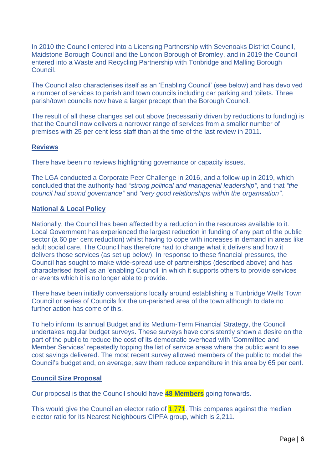In 2010 the Council entered into a Licensing Partnership with Sevenoaks District Council, Maidstone Borough Council and the London Borough of Bromley, and in 2019 the Council entered into a Waste and Recycling Partnership with Tonbridge and Malling Borough Council.

The Council also characterises itself as an 'Enabling Council' (see below) and has devolved a number of services to parish and town councils including car parking and toilets. Three parish/town councils now have a larger precept than the Borough Council.

The result of all these changes set out above (necessarily driven by reductions to funding) is that the Council now delivers a narrower range of services from a smaller number of premises with 25 per cent less staff than at the time of the last review in 2011.

#### **Reviews**

There have been no reviews highlighting governance or capacity issues.

The LGA conducted a Corporate Peer Challenge in 2016, and a follow-up in 2019, which concluded that the authority had *"strong political and managerial leadership"*, and that *"the council had sound governance"* and *"very good relationships within the organisation"*.

#### **National & Local Policy**

Nationally, the Council has been affected by a reduction in the resources available to it. Local Government has experienced the largest reduction in funding of any part of the public sector (a 60 per cent reduction) whilst having to cope with increases in demand in areas like adult social care. The Council has therefore had to change what it delivers and how it delivers those services (as set up below). In response to these financial pressures, the Council has sought to make wide-spread use of partnerships (described above) and has characterised itself as an 'enabling Council' in which it supports others to provide services or events which it is no longer able to provide.

There have been initially conversations locally around establishing a Tunbridge Wells Town Council or series of Councils for the un-parished area of the town although to date no further action has come of this.

To help inform its annual Budget and its Medium-Term Financial Strategy, the Council undertakes regular budget surveys. These surveys have consistently shown a desire on the part of the public to reduce the cost of its democratic overhead with 'Committee and Member Services' repeatedly topping the list of service areas where the public want to see cost savings delivered. The most recent survey allowed members of the public to model the Council's budget and, on average, saw them reduce expenditure in this area by 65 per cent.

#### **Council Size Proposal**

Our proposal is that the Council should have **48 Members** going forwards.

This would give the Council an elector ratio of 1,771. This compares against the median elector ratio for its Nearest Neighbours CIPFA group, which is 2,211.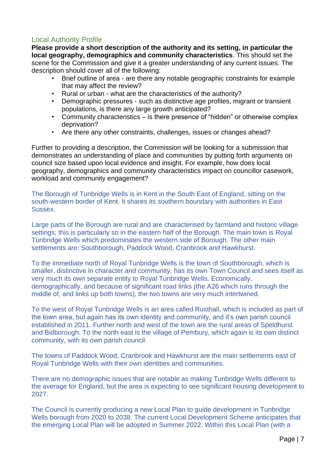# <span id="page-7-0"></span>Local Authority Profile

**Please provide a short description of the authority and its setting, in particular the local geography, demographics and community characteristics**. This should set the scene for the Commission and give it a greater understanding of any current issues. The description should cover all of the following:

- Brief outline of area are there any notable geographic constraints for example that may affect the review?
- 
- Rural or urban what are the characteristics of the authority?<br>• Demographic pressures such as distinctive age profiles, mig • Demographic pressures - such as distinctive age profiles, migrant or transient populations, is there any large growth anticipated?
- Community characteristics is there presence of "hidden" or otherwise complex deprivation?
- Are there any other constraints, challenges, issues or changes ahead?

Further to providing a description, the Commission will be looking for a submission that demonstrates an understanding of place and communities by putting forth arguments on council size based upon local evidence and insight. For example, how does local geography, demographics and community characteristics impact on councillor casework, workload and community engagement?

The Borough of Tunbridge Wells is in Kent in the South East of England, sitting on the south-western border of Kent. It shares its southern boundary with authorities in East Sussex.

Large parts of the Borough are rural and are characterised by farmland and historic village settings; this is particularly so in the eastern half of the Borough. The main town is Royal Tunbridge Wells which predominates the western side of Borough. The other main settlements are: Southborough, Paddock Wood, Cranbrook and Hawkhurst.

To the immediate north of Royal Tunbridge Wells is the town of Southborough, which is smaller, distinctive in character and community, has its own Town Council and sees itself as very much its own separate entity to Royal Tunbridge Wells. Economically, demographically, and because of significant road links (the A26 which runs through the middle of, and links up both towns), the two towns are very much intertwined.

To the west of Royal Tunbridge Wells is an area called Rusthall, which is included as part of the town area, but again has its own identity and community, and it's own parish council established in 2011. Further north and west of the town are the rural areas of Speldhurst and Bidborough. To the north east is the village of Pembury, which again is its own distinct community, with its own parish council.

The towns of Paddock Wood, Cranbrook and Hawkhurst are the main settlements east of Royal Tunbridge Wells with their own identities and communities.

There are no demographic issues that are notable as making Tunbridge Wells different to the average for England, but the area is expecting to see significant housing development to 2027.

The Council is currently producing a new Local Plan to guide development in Tunbridge Wells borough from 2020 to 2038. The current Local Development Scheme anticipates that the emerging Local Plan will be adopted in Summer 2022. Within this Local Plan (with a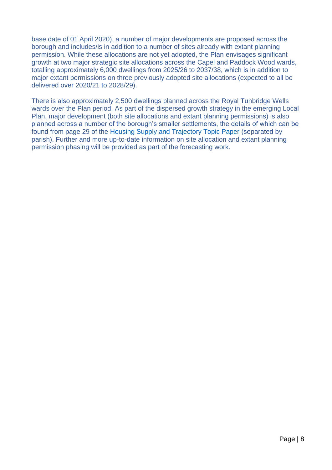base date of 01 April 2020), a number of major developments are proposed across the borough and includes/is in addition to a number of sites already with extant planning permission. While these allocations are not yet adopted, the Plan envisages significant growth at two major strategic site allocations across the Capel and Paddock Wood wards, totalling approximately 6,000 dwellings from 2025/26 to 2037/38, which is in addition to major extant permissions on three previously adopted site allocations (expected to all be delivered over 2020/21 to 2028/29).

<span id="page-8-0"></span>There is also approximately 2,500 dwellings planned across the Royal Tunbridge Wells wards over the Plan period. As part of the dispersed growth strategy in the emerging Local Plan, major development (both site allocations and extant planning permissions) is also planned across a number of the borough's smaller settlements, the details of which can be found from page 29 of the [Housing Supply and Trajectory Topic Paper](https://tunbridgewells.gov.uk/__data/assets/pdf_file/0005/388094/Housing-Supply-and-Trajectory-Topic-Paper_minus-annex.pdf) (separated by parish). Further and more up-to-date information on site allocation and extant planning permission phasing will be provided as part of the forecasting work.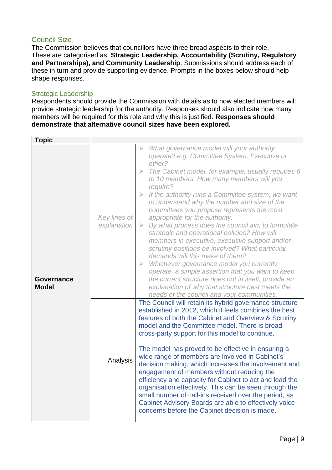# Council Size

The Commission believes that councillors have three broad aspects to their role. These are categorised as: **Strategic Leadership, Accountability (Scrutiny, Regulatory and Partnerships), and Community Leadership**. Submissions should address each of these in turn and provide supporting evidence. Prompts in the boxes below should help shape responses.

# Strategic Leadership

Respondents should provide the Commission with details as to how elected members will provide strategic leadership for the authority. Responses should also indicate how many members will be required for this role and why this is justified. **Responses should demonstrate that alternative council sizes have been explored.**

| <b>Topic</b>                      |                             |                                                                                                                                                                                                                                                                                                                                                                                                                                                                                                                                                                                                                                                                                                                                                                                                                                                                                                                                                                                                |
|-----------------------------------|-----------------------------|------------------------------------------------------------------------------------------------------------------------------------------------------------------------------------------------------------------------------------------------------------------------------------------------------------------------------------------------------------------------------------------------------------------------------------------------------------------------------------------------------------------------------------------------------------------------------------------------------------------------------------------------------------------------------------------------------------------------------------------------------------------------------------------------------------------------------------------------------------------------------------------------------------------------------------------------------------------------------------------------|
| <b>Governance</b><br><b>Model</b> | Key lines of<br>explanation | What governance model will your authority<br>operate? e.g. Committee System, Executive or<br>other?<br>The Cabinet model, for example, usually requires 6<br>$\geqslant$<br>to 10 members. How many members will you<br>require?<br>If the authority runs a Committee system, we want<br>$\geqslant$<br>to understand why the number and size of the<br>committees you propose represents the most<br>appropriate for the authority.<br>By what process does the council aim to formulate<br>$\blacktriangleright$<br>strategic and operational policies? How will<br>members in executive, executive support and/or<br>scrutiny positions be involved? What particular<br>demands will this make of them?<br>Whichever governance model you currently<br>$\blacktriangleright$<br>operate, a simple assertion that you want to keep<br>the current structure does not in itself, provide an<br>explanation of why that structure best meets the<br>needs of the council and your communities. |
|                                   | Analysis                    | The Council will retain its hybrid governance structure<br>established in 2012, which it feels combines the best<br>features of both the Cabinet and Overview & Scrutiny<br>model and the Committee model. There is broad<br>cross-party support for this model to continue.<br>The model has proved to be effective in ensuring a<br>wide range of members are involved in Cabinet's<br>decision making, which increases the involvement and<br>engagement of members without reducing the<br>efficiency and capacity for Cabinet to act and lead the<br>organisation effectively. This can be seen through the<br>small number of call-ins received over the period, as<br>Cabinet Advisory Boards are able to effectively voice<br>concerns before the Cabinet decision is made.                                                                                                                                                                                                            |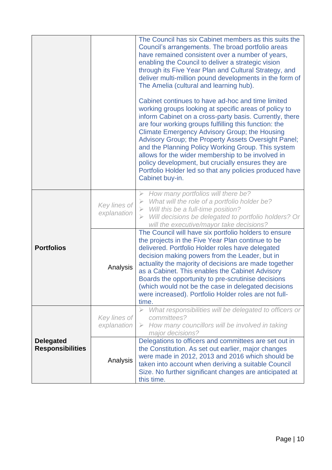|                                             |                             | The Council has six Cabinet members as this suits the<br>Council's arrangements. The broad portfolio areas<br>have remained consistent over a number of years,<br>enabling the Council to deliver a strategic vision<br>through its Five Year Plan and Cultural Strategy, and<br>deliver multi-million pound developments in the form of<br>The Amelia (cultural and learning hub).<br>Cabinet continues to have ad-hoc and time limited<br>working groups looking at specific areas of policy to<br>inform Cabinet on a cross-party basis. Currently, there<br>are four working groups fulfilling this function: the<br><b>Climate Emergency Advisory Group; the Housing</b><br>Advisory Group; the Property Assets Oversight Panel;<br>and the Planning Policy Working Group. This system |
|---------------------------------------------|-----------------------------|---------------------------------------------------------------------------------------------------------------------------------------------------------------------------------------------------------------------------------------------------------------------------------------------------------------------------------------------------------------------------------------------------------------------------------------------------------------------------------------------------------------------------------------------------------------------------------------------------------------------------------------------------------------------------------------------------------------------------------------------------------------------------------------------|
|                                             |                             | allows for the wider membership to be involved in<br>policy development, but crucially ensures they are<br>Portfolio Holder led so that any policies produced have<br>Cabinet buy-in.                                                                                                                                                                                                                                                                                                                                                                                                                                                                                                                                                                                                       |
|                                             | Key lines of<br>explanation | How many portfolios will there be?<br>$\blacktriangleright$<br>What will the role of a portfolio holder be?<br>$\blacktriangleright$<br>Will this be a full-time position?<br>$\blacktriangleright$<br>Will decisions be delegated to portfolio holders? Or<br>$\blacktriangleright$<br>will the executive/mayor take decisions?                                                                                                                                                                                                                                                                                                                                                                                                                                                            |
| <b>Portfolios</b>                           | Analysis                    | The Council will have six portfolio holders to ensure<br>the projects in the Five Year Plan continue to be<br>delivered. Portfolio Holder roles have delegated<br>decision making powers from the Leader, but in<br>actuality the majority of decisions are made together<br>as a Cabinet. This enables the Cabinet Advisory<br>Boards the opportunity to pre-scrutinise decisions<br>(which would not be the case in delegated decisions<br>were increased). Portfolio Holder roles are not full-<br>time.                                                                                                                                                                                                                                                                                 |
|                                             | Key lines of<br>explanation | What responsibilities will be delegated to officers or<br>$\blacktriangleright$<br>committees?<br>How many councillors will be involved in taking<br>➤<br>major decisions?                                                                                                                                                                                                                                                                                                                                                                                                                                                                                                                                                                                                                  |
| <b>Delegated</b><br><b>Responsibilities</b> | Analysis                    | Delegations to officers and committees are set out in<br>the Constitution. As set out earlier, major changes<br>were made in 2012, 2013 and 2016 which should be<br>taken into account when deriving a suitable Council<br>Size. No further significant changes are anticipated at<br>this time.                                                                                                                                                                                                                                                                                                                                                                                                                                                                                            |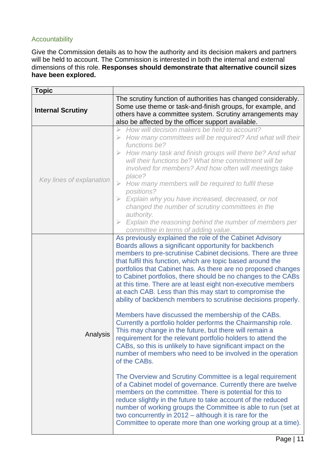# Accountability

Give the Commission details as to how the authority and its decision makers and partners will be held to account. The Commission is interested in both the internal and external dimensions of this role. **Responses should demonstrate that alternative council sizes have been explored.**

| <b>Topic</b>             |                                                                                                                                                                                                                                                                                                                                                                                                                                                                                                                                                                                                                                                                                                                                                                                                                                                                                                                                                                                                                                                                                                                                                                                                                                        |
|--------------------------|----------------------------------------------------------------------------------------------------------------------------------------------------------------------------------------------------------------------------------------------------------------------------------------------------------------------------------------------------------------------------------------------------------------------------------------------------------------------------------------------------------------------------------------------------------------------------------------------------------------------------------------------------------------------------------------------------------------------------------------------------------------------------------------------------------------------------------------------------------------------------------------------------------------------------------------------------------------------------------------------------------------------------------------------------------------------------------------------------------------------------------------------------------------------------------------------------------------------------------------|
| <b>Internal Scrutiny</b> | The scrutiny function of authorities has changed considerably.<br>Some use theme or task-and-finish groups, for example, and<br>others have a committee system. Scrutiny arrangements may<br>also be affected by the officer support available.                                                                                                                                                                                                                                                                                                                                                                                                                                                                                                                                                                                                                                                                                                                                                                                                                                                                                                                                                                                        |
| Key lines of explanation | How will decision makers be held to account?<br>How many committees will be required? And what will their<br>functions be?<br>$\triangleright$ How many task and finish groups will there be? And what<br>will their functions be? What time commitment will be<br>involved for members? And how often will meetings take<br>place?<br>How many members will be required to fulfil these<br>$\geqslant$<br>positions?<br>$\triangleright$ Explain why you have increased, decreased, or not<br>changed the number of scrutiny committees in the<br>authority.<br>Explain the reasoning behind the number of members per<br>committee in terms of adding value.                                                                                                                                                                                                                                                                                                                                                                                                                                                                                                                                                                         |
| Analysis                 | As previously explained the role of the Cabinet Advisory<br>Boards allows a significant opportunity for backbench<br>members to pre-scrutinise Cabinet decisions. There are three<br>that fulfil this function, which are topic based around the<br>portfolios that Cabinet has. As there are no proposed changes<br>to Cabinet portfolios, there should be no changes to the CABs<br>at this time. There are at least eight non-executive members<br>at each CAB. Less than this may start to compromise the<br>ability of backbench members to scrutinise decisions properly.<br>Members have discussed the membership of the CABs.<br>Currently a portfolio holder performs the Chairmanship role.<br>This may change in the future, but there will remain a<br>requirement for the relevant portfolio holders to attend the<br>CABs, so this is unlikely to have significant impact on the<br>number of members who need to be involved in the operation<br>of the CABs.<br>The Overview and Scrutiny Committee is a legal requirement<br>of a Cabinet model of governance. Currently there are twelve<br>members on the committee. There is potential for this to<br>reduce slightly in the future to take account of the reduced |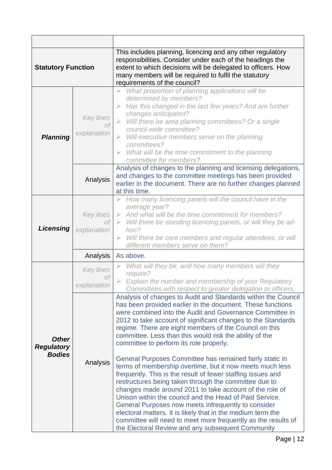| <b>Statutory Function</b>                          |                                       | This includes planning, licencing and any other regulatory<br>responsibilities. Consider under each of the headings the<br>extent to which decisions will be delegated to officers. How<br>many members will be required to fulfil the statutory<br>requirements of the council?                                                                                                                                                                                                                                                                                                                                                                                                                                                                                                                                                                                                                                                                                                                                                          |
|----------------------------------------------------|---------------------------------------|-------------------------------------------------------------------------------------------------------------------------------------------------------------------------------------------------------------------------------------------------------------------------------------------------------------------------------------------------------------------------------------------------------------------------------------------------------------------------------------------------------------------------------------------------------------------------------------------------------------------------------------------------------------------------------------------------------------------------------------------------------------------------------------------------------------------------------------------------------------------------------------------------------------------------------------------------------------------------------------------------------------------------------------------|
| <b>Planning</b>                                    | <b>Key lines</b><br>Οf<br>explanation | What proportion of planning applications will be<br>$\blacktriangleright$<br>determined by members?<br>Has this changed in the last few years? And are further<br>$\blacktriangleright$<br>changes anticipated?<br>Will there be area planning committees? Or a single<br>$\geqslant$<br>council-wide committee?<br>$\triangleright$ Will executive members serve on the planning<br>committees?<br>What will be the time commitment to the planning<br>committee for members?                                                                                                                                                                                                                                                                                                                                                                                                                                                                                                                                                            |
|                                                    | Analysis                              | Analysis of changes to the planning and licensing delegations,<br>and changes to the committee meetings has been provided<br>earlier in the document. There are no further changes planned<br>at this time.                                                                                                                                                                                                                                                                                                                                                                                                                                                                                                                                                                                                                                                                                                                                                                                                                               |
| Licensing                                          | Key lines<br>Οf<br>explanation        | How many licencing panels will the council have in the<br>⋗<br>average year?<br>And what will be the time commitment for members?<br>$\triangleright$<br>$\triangleright$ Will there be standing licencing panels, or will they be ad-<br>hoc?<br>Will there be core members and regular attendees, or will<br>$\triangleright$<br>different members serve on them?                                                                                                                                                                                                                                                                                                                                                                                                                                                                                                                                                                                                                                                                       |
|                                                    | Analysis                              | As above.                                                                                                                                                                                                                                                                                                                                                                                                                                                                                                                                                                                                                                                                                                                                                                                                                                                                                                                                                                                                                                 |
| <b>Other</b><br><b>Regulatory</b><br><b>Bodies</b> | <b>Key lines</b><br>Οİ<br>explanation | What will they be, and how many members will they<br>require?<br>Explain the number and membership of your Regulatory<br>Committees with respect to greater delegation to officers.                                                                                                                                                                                                                                                                                                                                                                                                                                                                                                                                                                                                                                                                                                                                                                                                                                                       |
|                                                    | Analysis                              | Analysis of changes to Audit and Standards within the Council<br>has been provided earlier in the document. These functions<br>were combined into the Audit and Governance Committee in<br>2012 to take account of significant changes to the Standards<br>regime. There are eight members of the Council on this<br>committee. Less than this would risk the ability of the<br>committee to perform its role properly.<br>General Purposes Committee has remained fairly static in<br>terms of membership overtime, but it now meets much less<br>frequently. This is the result of fewer staffing issues and<br>restructures being taken through the committee due to<br>changes made around 2011 to take account of the role of<br>Unison within the council and the Head of Paid Service.<br>General Purposes now meets infrequently to consider<br>electoral matters. It is likely that in the medium term the<br>committee will need to meet more frequently as the results of<br>the Electoral Review and any subsequent Community |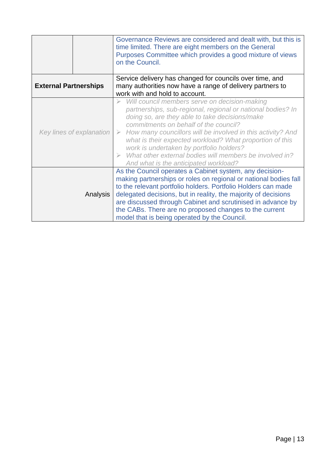|                              |          | Governance Reviews are considered and dealt with, but this is<br>time limited. There are eight members on the General<br>Purposes Committee which provides a good mixture of views<br>on the Council.                                                                                                                                                                                                                                                                                                                      |
|------------------------------|----------|----------------------------------------------------------------------------------------------------------------------------------------------------------------------------------------------------------------------------------------------------------------------------------------------------------------------------------------------------------------------------------------------------------------------------------------------------------------------------------------------------------------------------|
| <b>External Partnerships</b> |          | Service delivery has changed for councils over time, and<br>many authorities now have a range of delivery partners to<br>work with and hold to account.                                                                                                                                                                                                                                                                                                                                                                    |
| Key lines of explanation     |          | Will council members serve on decision-making<br>partnerships, sub-regional, regional or national bodies? In<br>doing so, are they able to take decisions/make<br>commitments on behalf of the council?<br>How many councillors will be involved in this activity? And<br>$\triangleright$<br>what is their expected workload? What proportion of this<br>work is undertaken by portfolio holders?<br>What other external bodies will members be involved in?<br>$\triangleright$<br>And what is the anticipated workload? |
|                              | Analysis | As the Council operates a Cabinet system, any decision-<br>making partnerships or roles on regional or national bodies fall<br>to the relevant portfolio holders. Portfolio Holders can made<br>delegated decisions, but in reality, the majority of decisions<br>are discussed through Cabinet and scrutinised in advance by<br>the CABs. There are no proposed changes to the current<br>model that is being operated by the Council.                                                                                    |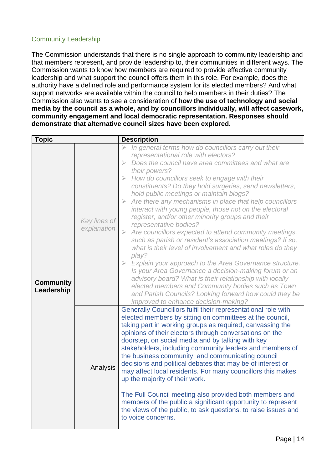# Community Leadership

The Commission understands that there is no single approach to community leadership and that members represent, and provide leadership to, their communities in different ways. The Commission wants to know how members are required to provide effective community leadership and what support the council offers them in this role. For example, does the authority have a defined role and performance system for its elected members? And what support networks are available within the council to help members in their duties? The Commission also wants to see a consideration of **how the use of technology and social media by the council as a whole, and by councillors individually, will affect casework, community engagement and local democratic representation. Responses should demonstrate that alternative council sizes have been explored.**

| <b>Topic</b>                   |                             | <b>Description</b>                                                                                                                                                                                                                                                                                                                                                                                                                                                                                                                                                                                                                                                                                                                                                                                                                                                                                                                                                                                                                                                                                                                                      |
|--------------------------------|-----------------------------|---------------------------------------------------------------------------------------------------------------------------------------------------------------------------------------------------------------------------------------------------------------------------------------------------------------------------------------------------------------------------------------------------------------------------------------------------------------------------------------------------------------------------------------------------------------------------------------------------------------------------------------------------------------------------------------------------------------------------------------------------------------------------------------------------------------------------------------------------------------------------------------------------------------------------------------------------------------------------------------------------------------------------------------------------------------------------------------------------------------------------------------------------------|
| <b>Community</b><br>Leadership | Key lines of<br>explanation | In general terms how do councillors carry out their<br>representational role with electors?<br>Does the council have area committees and what are<br>$\blacktriangleright$<br>their powers?<br>How do councillors seek to engage with their<br>$\geqslant$<br>constituents? Do they hold surgeries, send newsletters,<br>hold public meetings or maintain blogs?<br>$\triangleright$ Are there any mechanisms in place that help councillors<br>interact with young people, those not on the electoral<br>register, and/or other minority groups and their<br>representative bodies?<br>Are councillors expected to attend community meetings,<br>$\geqslant$<br>such as parish or resident's association meetings? If so,<br>what is their level of involvement and what roles do they<br>play?<br>$\triangleright$ Explain your approach to the Area Governance structure.<br>Is your Area Governance a decision-making forum or an<br>advisory board? What is their relationship with locally<br>elected members and Community bodies such as Town<br>and Parish Councils? Looking forward how could they be<br>improved to enhance decision-making? |
|                                | Analysis                    | Generally Councillors fulfil their representational role with<br>elected members by sitting on committees at the council,<br>taking part in working groups as required, canvassing the<br>opinions of their electors through conversations on the<br>doorstep, on social media and by talking with key<br>stakeholders, including community leaders and members of<br>the business community, and communicating council<br>decisions and political debates that may be of interest or<br>may affect local residents. For many councillors this makes<br>up the majority of their work.<br>The Full Council meeting also provided both members and<br>members of the public a significant opportunity to represent<br>the views of the public, to ask questions, to raise issues and<br>to voice concerns.                                                                                                                                                                                                                                                                                                                                               |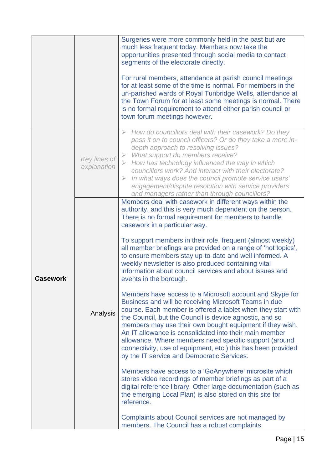|                 |                             | Surgeries were more commonly held in the past but are<br>much less frequent today. Members now take the<br>opportunities presented through social media to contact<br>segments of the electorate directly.<br>For rural members, attendance at parish council meetings<br>for at least some of the time is normal. For members in the<br>un-parished wards of Royal Tunbridge Wells, attendance at<br>the Town Forum for at least some meetings is normal. There<br>is no formal requirement to attend either parish council or<br>town forum meetings however.                                                                                                                                                                                                                                                                                                                                                                                                                                                                                                                                                                                                                                                                                                                                                                                                                                                                                                          |
|-----------------|-----------------------------|--------------------------------------------------------------------------------------------------------------------------------------------------------------------------------------------------------------------------------------------------------------------------------------------------------------------------------------------------------------------------------------------------------------------------------------------------------------------------------------------------------------------------------------------------------------------------------------------------------------------------------------------------------------------------------------------------------------------------------------------------------------------------------------------------------------------------------------------------------------------------------------------------------------------------------------------------------------------------------------------------------------------------------------------------------------------------------------------------------------------------------------------------------------------------------------------------------------------------------------------------------------------------------------------------------------------------------------------------------------------------------------------------------------------------------------------------------------------------|
|                 | Key lines of<br>explanation | How do councillors deal with their casework? Do they<br>pass it on to council officers? Or do they take a more in-<br>depth approach to resolving issues?<br>$\triangleright$ What support do members receive?<br>$\triangleright$ How has technology influenced the way in which<br>councillors work? And interact with their electorate?<br>In what ways does the council promote service users'<br>➤<br>engagement/dispute resolution with service providers<br>and managers rather than through councillors?                                                                                                                                                                                                                                                                                                                                                                                                                                                                                                                                                                                                                                                                                                                                                                                                                                                                                                                                                         |
| <b>Casework</b> | Analysis                    | Members deal with casework in different ways within the<br>authority, and this is very much dependent on the person.<br>There is no formal requirement for members to handle<br>casework in a particular way.<br>To support members in their role, frequent (almost weekly)<br>all member briefings are provided on a range of 'hot topics',<br>to ensure members stay up-to-date and well informed. A<br>weekly newsletter is also produced containing vital<br>information about council services and about issues and<br>events in the borough.<br>Members have access to a Microsoft account and Skype for<br>Business and will be receiving Microsoft Teams in due<br>course. Each member is offered a tablet when they start with<br>the Council, but the Council is device agnostic, and so<br>members may use their own bought equipment if they wish.<br>An IT allowance is consolidated into their main member<br>allowance. Where members need specific support (around<br>connectivity, use of equipment, etc.) this has been provided<br>by the IT service and Democratic Services.<br>Members have access to a 'GoAnywhere' microsite which<br>stores video recordings of member briefings as part of a<br>digital reference library. Other large documentation (such as<br>the emerging Local Plan) is also stored on this site for<br>reference.<br>Complaints about Council services are not managed by<br>members. The Council has a robust complaints |